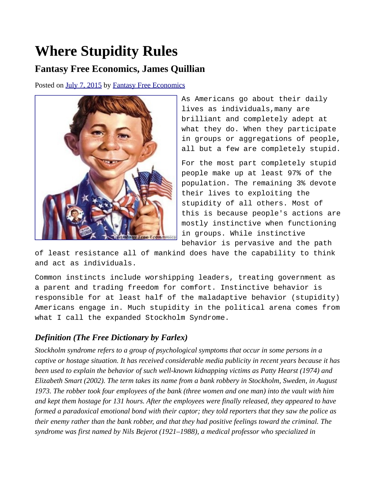## **Where Stupidity Rules**

## **Fantasy Free Economics, James Quillian**

Posted on [July 7, 2015](http://quillian.net/blog/where-stupidity-rules/) by [Fantasy Free Economics](http://quillian.net/blog/author/james-quillian/)



As Americans go about their daily lives as individuals,many are brilliant and completely adept at what they do. When they participate in groups or aggregations of people, all but a few are completely stupid.

For the most part completely stupid people make up at least 97% of the population. The remaining 3% devote their lives to exploiting the stupidity of all others. Most of this is because people's actions are mostly instinctive when functioning in groups. While instinctive behavior is pervasive and the path

of least resistance all of mankind does have the capability to think and act as individuals.

Common instincts include worshipping leaders, treating government as a parent and trading freedom for comfort. Instinctive behavior is responsible for at least half of the maladaptive behavior (stupidity) Americans engage in. Much stupidity in the political arena comes from what I call the expanded Stockholm Syndrome.

## *Definition (The Free Dictionary by Farlex)*

*Stockholm syndrome refers to a group of psychological symptoms that occur in some persons in a captive or hostage situation. It has received considerable media publicity in recent years because it has been used to explain the behavior of such well-known kidnapping victims as Patty Hearst (1974) and Elizabeth Smart (2002). The term takes its name from a bank robbery in Stockholm, Sweden, in August 1973. The robber took four employees of the bank (three women and one man) into the vault with him and kept them hostage for 131 hours. After the employees were finally released, they appeared to have formed a paradoxical emotional bond with their captor; they told reporters that they saw the police as their enemy rather than the bank robber, and that they had positive feelings toward the criminal. The syndrome was first named by Nils Bejerot (1921–1988), a medical professor who specialized in*